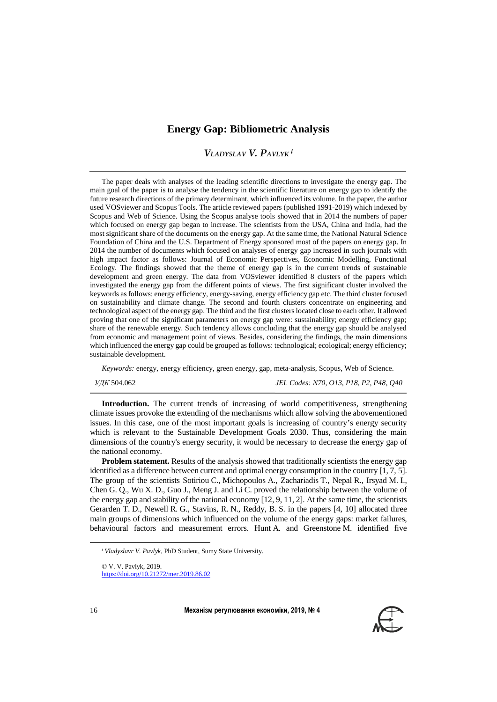# **Energy Gap: Bibliometric Analysis**

## *VLADYSLAV V. PAVLYK i*

The paper deals with analyses of the leading scientific directions to investigate the energy gap. The main goal of the paper is to analyse the tendency in the scientific literature on energy gap to identify the future research directions of the primary determinant, which influenced its volume. In the paper, the author used VOSviewer and Scopus Tools. The article reviewed papers (published 1991-2019) which indexed by Scopus and Web of Science. Using the Scopus analyse tools showed that in 2014 the numbers of paper which focused on energy gap began to increase. The scientists from the USA, China and India, had the most significant share of the documents on the energy gap. At the same time, the National Natural Science Foundation of China and the U.S. Department of Energy sponsored most of the papers on energy gap. In 2014 the number of documents which focused on analyses of energy gap increased in such journals with high impact factor as follows: Journal of Economic Perspectives, Economic Modelling, Functional Ecology. The findings showed that the theme of energy gap is in the current trends of sustainable development and green energy. The data from VOSviewer identified 8 clusters of the papers which investigated the energy gap from the different points of views. The first significant cluster involved the keywords as follows: energy efficiency, energy-saving, energy efficiency gap etc. The third cluster focused on sustainability and climate change. The second and fourth clusters concentrate on engineering and technological aspect of the energy gap. The third and the first clusters located close to each other. It allowed proving that one of the significant parameters on energy gap were: sustainability; energy efficiency gap; share of the renewable energy. Such tendency allows concluding that the energy gap should be analysed from economic and management point of views. Besides, considering the findings, the main dimensions which influenced the energy gap could be grouped as follows: technological; ecological; energy efficiency; sustainable development.

*Keywords:* energy, energy efficiency, green energy, gap, meta-analysis, Scopus, Web of Science.

*УДК* 504.062 *JEL Codes: N70, O13, P18, P2, P48, Q40*

**Introduction.** The current trends of increasing of world competitiveness, strengthening climate issues provoke the extending of the mechanisms which allow solving the abovementioned issues. In this case, one of the most important goals is increasing of country's energy security which is relevant to the Sustainable Development Goals 2030. Thus, considering the main dimensions of the country's energy security, it would be necessary to decrease the energy gap of the national economy.

**Problem statement.** Results of the analysis showed that traditionally scientists the energy gap identified as a difference between current and optimal energy consumption in the country [\[1,](#page-5-0) [7,](#page-5-1) [5\]](#page-5-2). The group of the scientists Sotiriou C., Michopoulos A., Zachariadis T., Nepal R., Irsyad M. I., Chen G. Q., Wu X. D., Guo J., Meng J. and Li C. proved the relationship between the volume of the energy gap and stability of the national economy [\[12,](#page-5-3) [9,](#page-5-4) [11,](#page-5-5) [2\]](#page-5-6). At the same time, the scientists Gerarden T. D., Newell R. G., Stavins, R. N., Reddy, B. S. in the papers [\[4,](#page-5-7) [10\]](#page-5-8) allocated three main groups of dimensions which influenced on the volume of the energy gaps: market failures, behavioural factors and measurement errors. Hunt A. and Greenstone M. identified five

<https://doi.org/10.21272/mer.2019.86.02>

16 **Механізм регулювання економіки, 2019, № 4**



 $\overline{a}$ 

*<sup>і</sup> Vladyslavr V. Pavlyk,* PhD Student, Sumy State University.

<sup>©</sup> V. V. Pavlyk, 2019.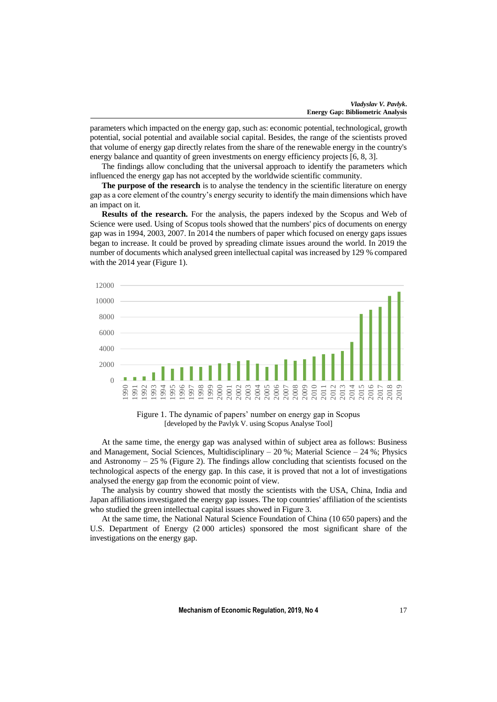parameters which impacted on the energy gap, such as: economic potential, technological, growth potential, social potential and available social capital. Besides, the range of the scientists proved that volume of energy gap directly relates from the share of the renewable energy in the country's energy balance and quantity of green investments on energy efficiency projects [\[6,](#page-5-9) [8,](#page-5-10) [3\]](#page-5-11).

The findings allow concluding that the universal approach to identify the parameters which influenced the energy gap has not accepted by the worldwide scientific community.

**The purpose of the research** is to analyse the tendency in the scientific literature on energy gap as a core element of the country's energy security to identify the main dimensions which have an impact on it.

**Results of the research.** For the analysis, the papers indexed by the Scopus and Web of Science were used. Using of Scopus tools showed that the numbers' pics of documents on energy gap was in 1994, 2003, 2007. In 2014 the numbers of paper which focused on energy gaps issues began to increase. It could be proved by spreading climate issues around the world. In 2019 the number of documents which analysed green intellectual capital was increased by 129 % compared with the 2014 year (Figure 1).



Figure 1. The dynamic of papers' number on energy gap in Scopus [developed by the Pavlyk V. using Scopus Analyse Tool]

At the same time, the energy gap was analysed within of subject area as follows: Business and Management, Social Sciences, Multidisciplinary – 20 %; Material Science – 24 %; Physics and Astronomy  $-25$  % (Figure 2). The findings allow concluding that scientists focused on the technological aspects of the energy gap. In this case, it is proved that not a lot of investigations analysed the energy gap from the economic point of view.

The analysis by country showed that mostly the scientists with the USA, China, India and Japan affiliations investigated the energy gap issues. The top countries' affiliation of the scientists who studied the green intellectual capital issues showed in Figure 3.

At the same time, the National Natural Science Foundation of China (10 650 papers) and the U.S. Department of Energy (2 000 articles) sponsored the most significant share of the investigations on the energy gap.

**Mechanism of Economic Regulation, 2019, No 4** 17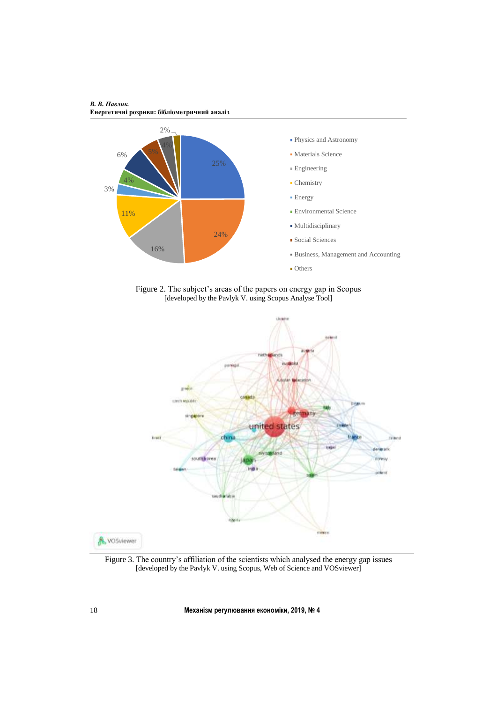



Figure 2. The subject's areas of the papers on energy gap in Scopus [developed by the Pavlyk V. using Scopus Analyse Tool]



Figure 3. The country's affiliation of the scientists which analysed the energy gap issues [developed by the Pavlyk V. using Scopus, Web of Science and VOSviewer]

18 **Механізм регулювання економіки, 2019, № 4**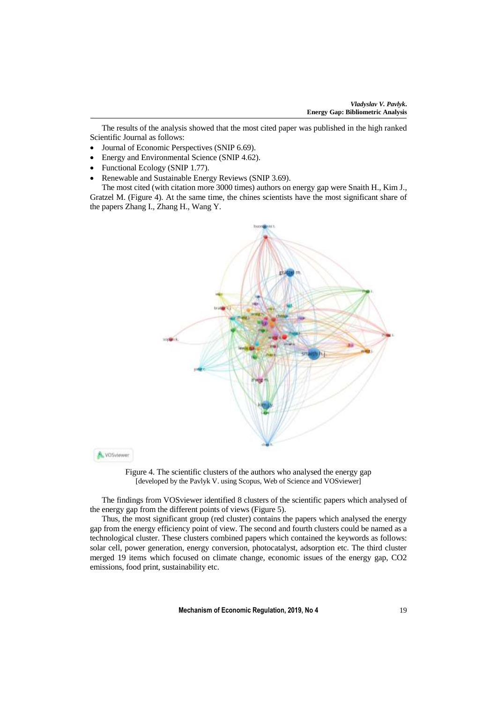The results of the analysis showed that the most cited paper was published in the high ranked Scientific Journal as follows:

- Journal of Economic Perspectives (SNIP 6.69).
- Energy and Environmental Science (SNIP 4.62).
- Functional Ecology (SNIP 1.77).

A VOSviewer

• Renewable and Sustainable Energy Reviews (SNIP 3.69).

The most cited (with citation more 3000 times) authors on energy gap were Snaith H., Kim J., Gratzel M. (Figure 4). At the same time, the chines scientists have the most significant share of the papers Zhang I., Zhang H., Wang Y.



Figure 4. The scientific clusters of the authors who analysed the energy gap [developed by the Pavlyk V. using Scopus, Web of Science and VOSviewer]

The findings from VOSviewer identified 8 clusters of the scientific papers which analysed of the energy gap from the different points of views (Figure 5).

Thus, the most significant group (red cluster) contains the papers which analysed the energy gap from the energy efficiency point of view. The second and fourth clusters could be named as a technological cluster. These clusters combined papers which contained the keywords as follows: solar cell, power generation, energy conversion, photocatalyst, adsorption etc. The third cluster merged 19 items which focused on climate change, economic issues of the energy gap, CO2 emissions, food print, sustainability etc.

**Mechanism of Economic Regulation, 2019, No 4** 19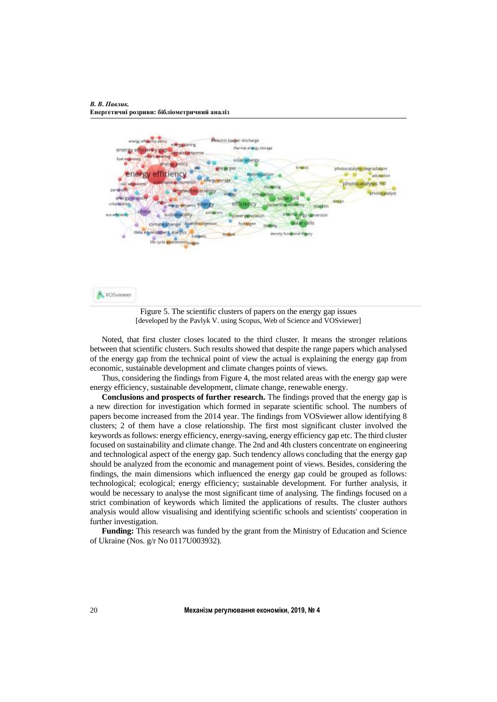*В. В. Павлик.*  **Енергетичні розриви: бібліометричний аналіз**

**A VOSviewer** 





Noted, that first cluster closes located to the third cluster. It means the stronger relations between that scientific clusters. Such results showed that despite the range papers which analysed

of the energy gap from the technical point of view the actual is explaining the energy gap from economic, sustainable development and climate changes points of views. Thus, considering the findings from Figure 4, the most related areas with the energy gap were

energy efficiency, sustainable development, climate change, renewable energy.

**Conclusions and prospects of further research.** The findings proved that the energy gap is a new direction for investigation which formed in separate scientific school. The numbers of papers become increased from the 2014 year. The findings from VOSviewer allow identifying 8 clusters; 2 of them have a close relationship. The first most significant cluster involved the keywords as follows: energy efficiency, energy-saving, energy efficiency gap etc. The third cluster focused on sustainability and climate change. The 2nd and 4th clusters concentrate on engineering and technological aspect of the energy gap. Such tendency allows concluding that the energy gap should be analyzed from the economic and management point of views. Besides, considering the findings, the main dimensions which influenced the energy gap could be grouped as follows: technological; ecological; energy efficiency; sustainable development. For further analysis, it would be necessary to analyse the most significant time of analysing. The findings focused on a strict combination of keywords which limited the applications of results. The cluster authors analysis would allow visualising and identifying scientific schools and scientists' cooperation in further investigation.

**Funding:** This research was funded by the grant from the Ministry of Education and Science of Ukraine (Nos. g/r No 0117U003932).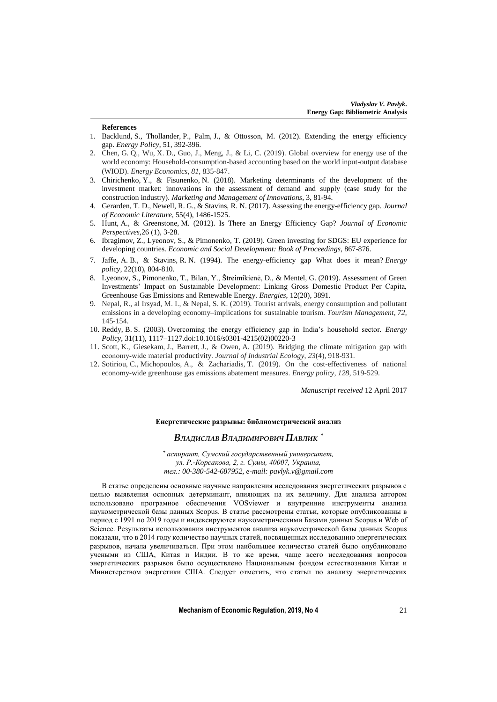#### **References**

- <span id="page-5-0"></span>1. Backlund, S., Thollander, P., Palm, J., & Ottosson, M. (2012). Extending the energy efficiency gap. *Energy Policy*, 51, 392-396.
- <span id="page-5-6"></span>2. Chen, G. Q., Wu, X. D., Guo, J., Meng, J., & Li, C. (2019). Global overview for energy use of the world economy: Household-consumption-based accounting based on the world input-output database (WIOD). *Energy Economics*, *81*, 835-847.
- <span id="page-5-11"></span>3. Chirichenko, Y., & Fisunenko, N. (2018). Marketing determinants of the development of the investment market: innovations in the assessment of demand and supply (case study for the construction industry). *Marketing and Management of Innovations*, 3, 81-94.
- <span id="page-5-7"></span>4. Gerarden, T. D., Newell, R. G., & Stavins, R. N. (2017). Assessing the energy-efficiency gap. *Journal of Economic Literature*, 55(4), 1486-1525.
- <span id="page-5-2"></span>5. Hunt, A., & Greenstone, M. (2012). Is There an Energy Efficiency Gap? *Journal of Economic Perspectives*,26 (1), 3-28.
- <span id="page-5-9"></span>6. Ibragimov, Z., Lyeonov, S., & Pimonenko, T. (2019). Green investing for SDGS: EU experience for developing countries. *Economic and Social Development: Book of Proceedings*, 867-876.
- <span id="page-5-1"></span>7. Jaffe, A. B., & Stavins, R. N. (1994). The energy-efficiency gap What does it mean? *Energy policy*, 22(10), 804-810.
- <span id="page-5-10"></span>8. Lyeonov, S., Pimonenko, T., Bilan, Y., Štreimikienė, D., & Mentel, G. (2019). Assessment of Green Investments' Impact on Sustainable Development: Linking Gross Domestic Product Per Capita, Greenhouse Gas Emissions and Renewable Energy. *Energies*, 12(20), 3891.
- <span id="page-5-4"></span>9. Nepal, R., al Irsyad, M. I., & Nepal, S. K. (2019). Tourist arrivals, energy consumption and pollutant emissions in a developing economy–implications for sustainable tourism. *Tourism Management*, *72*, 145-154.
- <span id="page-5-8"></span>10. Reddy, B. S. (2003). Overcoming the energy efficiency gap in India's household sector. *Energy Policy*, 31(11), 1117–1127.doi:10.1016/s0301-4215(02)00220-3
- <span id="page-5-5"></span>11. Scott, K., Giesekam, J., Barrett, J., & Owen, A. (2019). Bridging the climate mitigation gap with economy‐wide material productivity. *Journal of Industrial Ecology*, *23*(4), 918-931.
- <span id="page-5-3"></span>12. Sotiriou, C., Michopoulos, A., & Zachariadis, T. (2019). On the cost-effectiveness of national economy-wide greenhouse gas emissions abatement measures. *Energy policy*, *128*, 519-529.

*Manuscript received* 12 April 2017

### **Енергетические разрывы: библиометрический анализ**

## *ВЛАДИСЛАВ ВЛАДИМИРОВИЧ ПАВЛИК \**

**\*** *аспирант, Сумский государственный университет, ул. Р.-Корсакова, 2, г. Сумы, 40007, Украина, тел.: 00-380-542-687952, e-mail: pavlyk.v@gmail.com*

В статье определены основные научные направления исследования энергетических разрывов с целью выявления основных детерминант, влияющих на их величину. Для анализа автором использовано програмное обеспечения VOSviewer и внутренние инструменты анализа наукометрической базы данных Scopus. В статье рассмотрены статьи, которые опубликованны в период с 1991 по 2019 годы и индексируются наукометрическими Базами данных Scopus и Web of Science. Результаты использования инструментов анализа наукометрической базы данных Scopus показали, что в 2014 году количество научных статей, посвященных исследованию энергетических разрывов, начала увеличиваться. При этом наибольшее количество статей было опубликовано учеными из США, Китая и Индии. В то же время, чаще всего исследования вопросов энергетических разрывов было осуществлено Национальным фондом естествознания Китая и Министерством энергетики США. Следует отметить, что статьи по анализу энергетических

**Mechanism of Economic Regulation, 2019, No 4** 21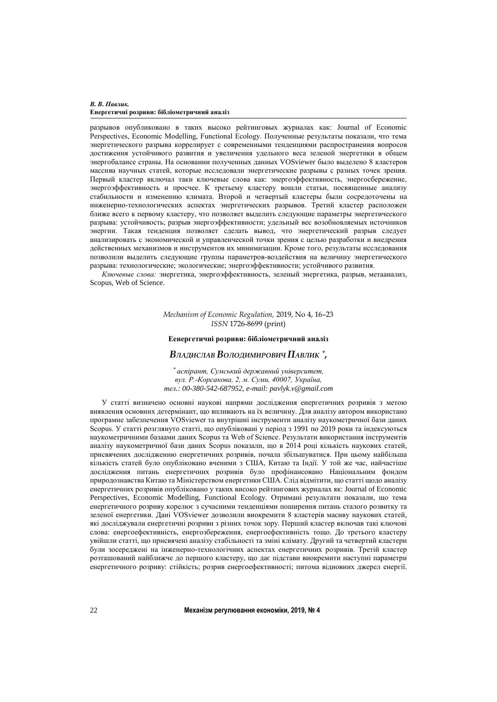#### *В. В. Павлик.*  **Енергетичні розриви: бібліометричний аналіз**

разрывов опубликовано в таких высоко рейтинговых журналах как: Journal of Economic Perspectives, Economic Modelling, Functional Ecology. Полученные результаты показали, что тема энергетического разрыва коррелирует с современными тенденциями распространения вопросов достижения устойчивого развития и увеличения удельного веса зеленой энергетики в общем энергобалансе страны. На основании полученных данных VOSviewer было выделено 8 кластеров массива научных статей, которые исследовали энергетические разрывы с разных точек зрения. Первый кластер включал таки ключевые слова как: энергоэффективность, энергосбережение, энергоэффективность и просчее. К третьему кластеру вошли статьи, посвященные анализу стабильности и изменению климата. Второй и четвертый кластеры были сосредоточены на инженерно-технологических аспектах энергетических разрывов. Третий кластер расположен ближе всего к первому кластеру, что позволяет выделить следующие параметры энергетического разрыва: устойчивость; разрыв энергоэффективности; удельный вес возобновляемых источников энергии. Такая тенденция позволяет сделать вывод, что энергетический разрыв следует анализировать с экономической и управленческой точки зрения с целью разработки и внедрения действенных механизмов и инструментов их минимизации. Кроме того, результаты исследования позволили выделить следующие группы параметров-воздействия на величину энергетического разрыва: технологические; экологические; энергоэффективности; устойчивого развития.

*Ключевые слова:* энергетика, энергоэффективность, зеленый энергетика, разрыв, метаанализ, Scopus, Web of Science.

> *Mechanism of Economic Regulation,* 2019, No 4, 16–23 *ISSN* 1726-8699 (print)

### **Еенергетичні розриви: бібліометричний аналіз**

## *ВЛАДИСЛАВ ВОЛОДИМИРОВИЧ ПАВЛИК \* ,*

*\* аспірант, Сумський державний університет, вул. Р.-Корсакова, 2, м. Суми, 40007, Україна, тел.: 00-380-542-687952, e-mail: pavlyk.v@gmail.com*

У статті визначено основні наукові напрями дослідження енергетичних розривів з метою виявлення основних детермінант, що впливають на їх величину. Для аналізу автором використано програмне забезпечення VOSviewer та внутрішні інструменти аналізу наукометричної бази даних Scopus. У статті розглянуто статті, що опубліковані у період з 1991 по 2019 роки та індексуються наукометричними базаами даних Scopus та Web of Science. Результати використання інструментів аналізу наукометричної бази даних Scopus показали, що в 2014 році кількість наукових статей, присвячених дослідженню енергетичних розривів, почала збільшуватися. При цьому найбільша кількість статей було опубліковано вченими з США, Китаю та Індії. У той же час, найчастіше дослідження питань енергетичних розривів було профінансовано Національним фондом природознавства Китаю та Міністерством енергетики США. Слід відмітити, що статті щодо аналізу енергетичних розривів опубліковано у таких високо рейтингових журналах як: Journal of Economic Perspectives, Economic Modelling, Functional Ecology. Отримані результати показали, що тема енергетичного розриву корелює з сучасними тенденціями поширення питань сталого розвитку та зеленої енергетики. Дані VOSviewer дозволили виокремити 8 кластерів масиву наукових статей, які досліджували енергетичні розриви з різних точок зору. Перший кластер включав такі ключові слова: енергоефективність, енергозбереження, енергоефективність тощо. До третього кластеру увійшли статті, що присвячені аналізу стабільності та зміні клімату. Другий та четвертий кластери були зосереджені на інженерно-технологічних аспектах енергетичних розривів. Третій кластер розташований найближче до першого кластеру, що дає підстави виокремити наступні параметри енергетичного розриву: стійкість; розрив енергоефективності; питома відновних джерел енергії.

22 **Механізм регулювання економіки, 2019, № 4**